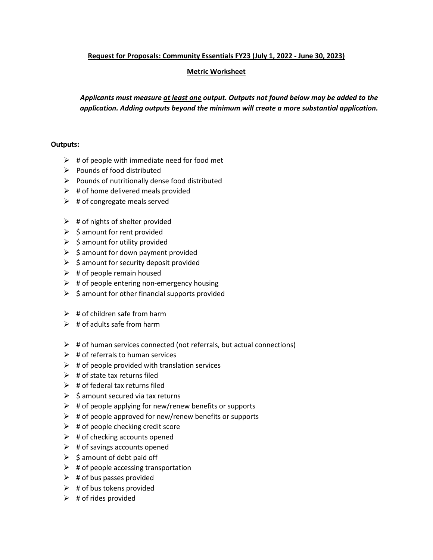## **Request for Proposals: Community Essentials FY23 (July 1, 2022 - June 30, 2023)**

## **Metric Worksheet**

*Applicants must measure at least one output. Outputs not found below may be added to the application. Adding outputs beyond the minimum will create a more substantial application.*

## **Outputs:**

- $\triangleright$  # of people with immediate need for food met
- $\triangleright$  Pounds of food distributed
- $\triangleright$  Pounds of nutritionally dense food distributed
- $\triangleright$  # of home delivered meals provided
- $\triangleright$  # of congregate meals served
- $\triangleright$  # of nights of shelter provided
- $\triangleright$  \$ amount for rent provided
- $\triangleright$  \$ amount for utility provided
- $\triangleright$  \$ amount for down payment provided
- $\triangleright$  \$ amount for security deposit provided
- $\triangleright$  # of people remain housed
- $\triangleright$  # of people entering non-emergency housing
- $\triangleright$  \$ amount for other financial supports provided
- $\triangleright$  # of children safe from harm
- $\triangleright$  # of adults safe from harm
- $\triangleright$  # of human services connected (not referrals, but actual connections)
- $\triangleright$  # of referrals to human services
- $\triangleright$  # of people provided with translation services
- $\triangleright$  # of state tax returns filed
- $\triangleright$  # of federal tax returns filed
- $\triangleright$  \$ amount secured via tax returns
- $\triangleright$  # of people applying for new/renew benefits or supports
- $\triangleright$  # of people approved for new/renew benefits or supports
- $\triangleright$  # of people checking credit score
- $\triangleright$  # of checking accounts opened
- $\triangleright$  # of savings accounts opened
- $\triangleright$  \$ amount of debt paid off
- $\triangleright$  # of people accessing transportation
- $\triangleright$  # of bus passes provided
- $\triangleright$  # of bus tokens provided
- $\triangleright$  # of rides provided